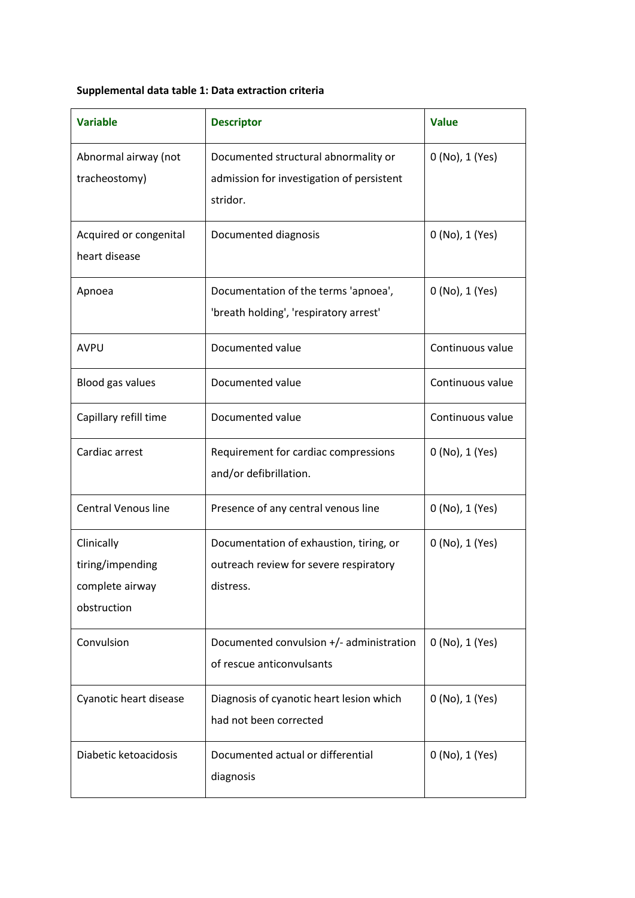## **Supplemental data table 1: Data extraction criteria**

| <b>Variable</b>                                                  | <b>Descriptor</b>                                                                              | <b>Value</b>     |
|------------------------------------------------------------------|------------------------------------------------------------------------------------------------|------------------|
| Abnormal airway (not<br>tracheostomy)                            | Documented structural abnormality or<br>admission for investigation of persistent<br>stridor.  | 0 (No), 1 (Yes)  |
| Acquired or congenital<br>heart disease                          | Documented diagnosis                                                                           | 0 (No), 1 (Yes)  |
| Apnoea                                                           | Documentation of the terms 'apnoea',<br>'breath holding', 'respiratory arrest'                 | 0 (No), 1 (Yes)  |
| <b>AVPU</b>                                                      | Documented value                                                                               | Continuous value |
| Blood gas values                                                 | Documented value                                                                               | Continuous value |
| Capillary refill time                                            | Documented value                                                                               | Continuous value |
| Cardiac arrest                                                   | Requirement for cardiac compressions<br>and/or defibrillation.                                 | 0 (No), 1 (Yes)  |
| <b>Central Venous line</b>                                       | Presence of any central venous line                                                            | 0 (No), 1 (Yes)  |
| Clinically<br>tiring/impending<br>complete airway<br>obstruction | Documentation of exhaustion, tiring, or<br>outreach review for severe respiratory<br>distress. | 0 (No), 1 (Yes)  |
| Convulsion                                                       | Documented convulsion +/- administration<br>of rescue anticonvulsants                          | 0 (No), 1 (Yes)  |
| Cyanotic heart disease                                           | Diagnosis of cyanotic heart lesion which<br>had not been corrected                             | 0 (No), 1 (Yes)  |
| Diabetic ketoacidosis                                            | Documented actual or differential<br>diagnosis                                                 | 0 (No), 1 (Yes)  |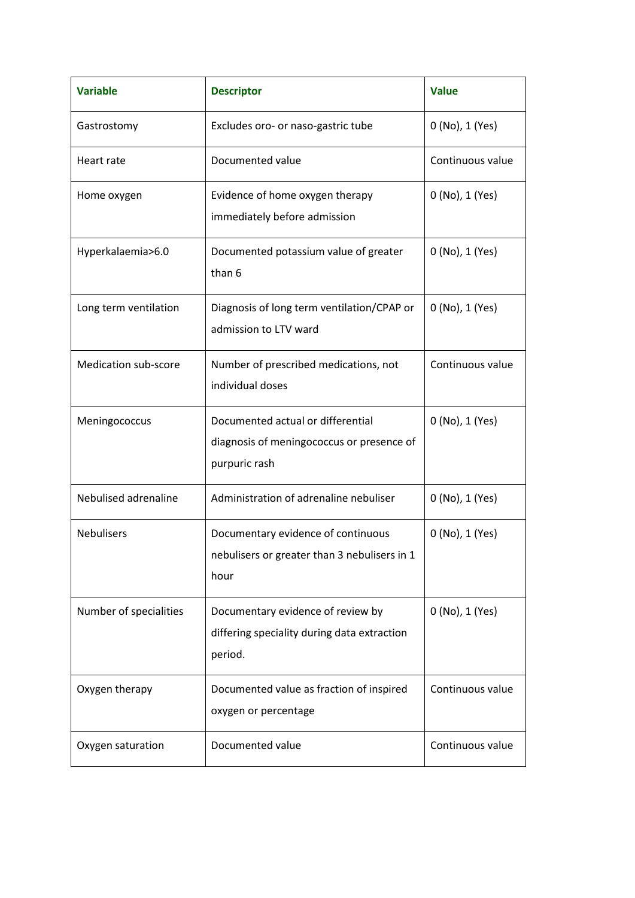| <b>Variable</b>             | <b>Descriptor</b>                                                                               | <b>Value</b>     |
|-----------------------------|-------------------------------------------------------------------------------------------------|------------------|
| Gastrostomy                 | Excludes oro- or naso-gastric tube                                                              | 0 (No), 1 (Yes)  |
| Heart rate                  | Documented value                                                                                | Continuous value |
| Home oxygen                 | Evidence of home oxygen therapy<br>immediately before admission                                 | 0 (No), 1 (Yes)  |
| Hyperkalaemia>6.0           | Documented potassium value of greater<br>than 6                                                 | 0 (No), 1 (Yes)  |
| Long term ventilation       | Diagnosis of long term ventilation/CPAP or<br>admission to LTV ward                             | 0 (No), 1 (Yes)  |
| <b>Medication sub-score</b> | Number of prescribed medications, not<br>individual doses                                       | Continuous value |
| Meningococcus               | Documented actual or differential<br>diagnosis of meningococcus or presence of<br>purpuric rash | 0 (No), 1 (Yes)  |
| Nebulised adrenaline        | Administration of adrenaline nebuliser                                                          | 0 (No), 1 (Yes)  |
| <b>Nebulisers</b>           | Documentary evidence of continuous<br>nebulisers or greater than 3 nebulisers in 1<br>hour      | 0 (No), 1 (Yes)  |
| Number of specialities      | Documentary evidence of review by<br>differing speciality during data extraction<br>period.     | 0 (No), 1 (Yes)  |
| Oxygen therapy              | Documented value as fraction of inspired<br>oxygen or percentage                                | Continuous value |
| Oxygen saturation           | Documented value                                                                                | Continuous value |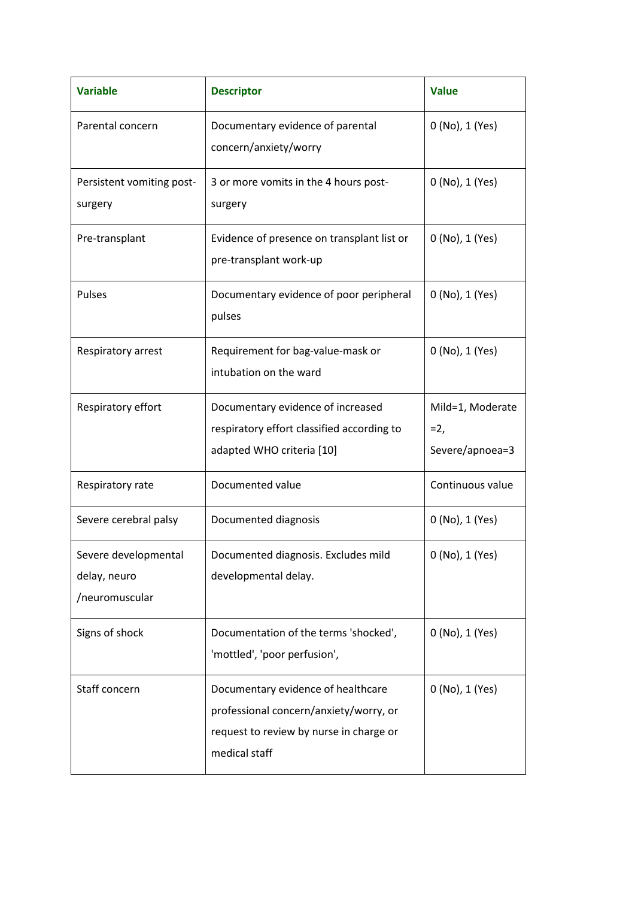| <b>Variable</b>                                        | <b>Descriptor</b>                                                                                                                        | <b>Value</b>                                 |
|--------------------------------------------------------|------------------------------------------------------------------------------------------------------------------------------------------|----------------------------------------------|
| Parental concern                                       | Documentary evidence of parental<br>concern/anxiety/worry                                                                                | 0 (No), 1 (Yes)                              |
| Persistent vomiting post-<br>surgery                   | 3 or more vomits in the 4 hours post-<br>surgery                                                                                         | 0 (No), 1 (Yes)                              |
| Pre-transplant                                         | Evidence of presence on transplant list or<br>pre-transplant work-up                                                                     | 0 (No), 1 (Yes)                              |
| Pulses                                                 | Documentary evidence of poor peripheral<br>pulses                                                                                        | 0 (No), 1 (Yes)                              |
| Respiratory arrest                                     | Requirement for bag-value-mask or<br>intubation on the ward                                                                              | 0 (No), 1 (Yes)                              |
| Respiratory effort                                     | Documentary evidence of increased<br>respiratory effort classified according to<br>adapted WHO criteria [10]                             | Mild=1, Moderate<br>$=2,$<br>Severe/apnoea=3 |
| Respiratory rate                                       | Documented value                                                                                                                         | Continuous value                             |
| Severe cerebral palsy                                  | Documented diagnosis                                                                                                                     | 0 (No), 1 (Yes)                              |
| Severe developmental<br>delay, neuro<br>/neuromuscular | Documented diagnosis. Excludes mild<br>developmental delay.                                                                              | 0 (No), 1 (Yes)                              |
| Signs of shock                                         | Documentation of the terms 'shocked',<br>'mottled', 'poor perfusion',                                                                    | 0 (No), 1 (Yes)                              |
| Staff concern                                          | Documentary evidence of healthcare<br>professional concern/anxiety/worry, or<br>request to review by nurse in charge or<br>medical staff | 0 (No), 1 (Yes)                              |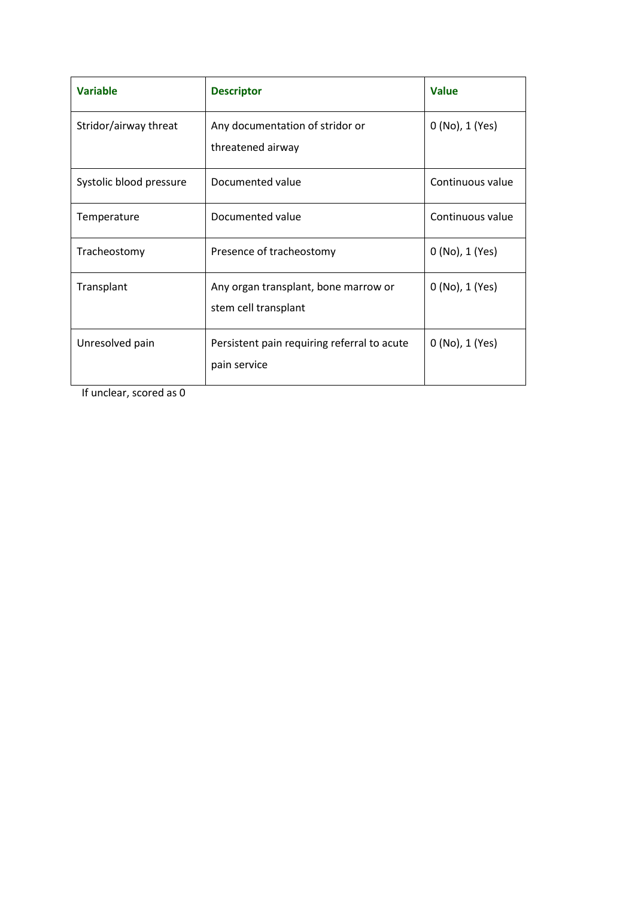| <b>Variable</b>         | <b>Descriptor</b>                                            | <b>Value</b>     |
|-------------------------|--------------------------------------------------------------|------------------|
| Stridor/airway threat   | Any documentation of stridor or<br>threatened airway         | 0 (No), 1 (Yes)  |
| Systolic blood pressure | Documented value                                             | Continuous value |
| Temperature             | Documented value                                             | Continuous value |
| Tracheostomy            | Presence of tracheostomy                                     | 0 (No), 1 (Yes)  |
| Transplant              | Any organ transplant, bone marrow or<br>stem cell transplant | 0 (No), 1 (Yes)  |
| Unresolved pain         | Persistent pain requiring referral to acute<br>pain service  | 0 (No), 1 (Yes)  |

If unclear, scored as 0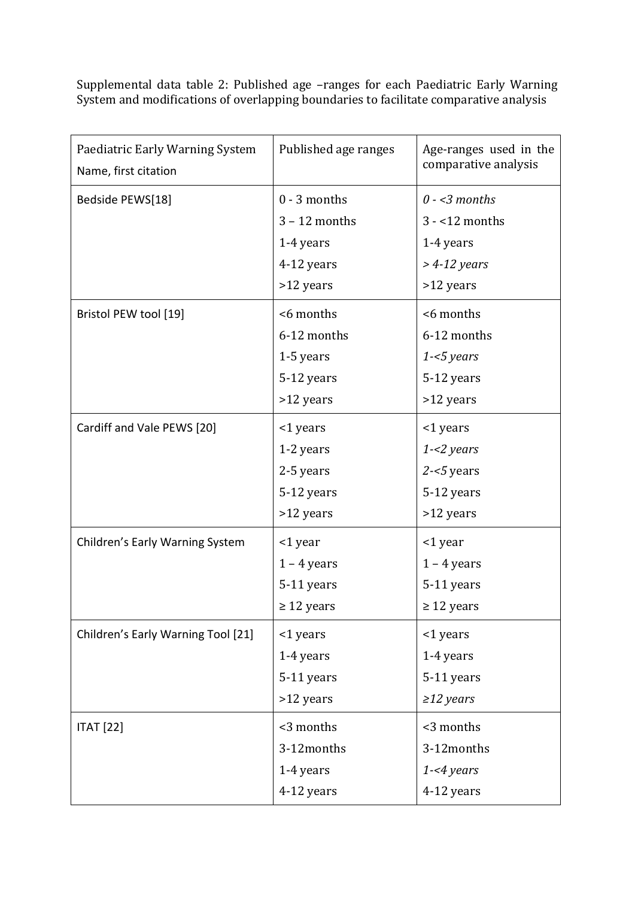Supplemental data table 2: Published age –ranges for each Paediatric Early Warning System and modifications of overlapping boundaries to facilitate comparative analysis

| Paediatric Early Warning System<br>Name, first citation | Published age ranges | Age-ranges used in the<br>comparative analysis |
|---------------------------------------------------------|----------------------|------------------------------------------------|
| Bedside PEWS[18]                                        | $0 - 3$ months       | $0 - 3$ months                                 |
|                                                         | $3 - 12$ months      | $3 - 12$ months                                |
|                                                         | 1-4 years            | 1-4 years                                      |
|                                                         | 4-12 years           | $>$ 4-12 years                                 |
|                                                         | >12 years            | >12 years                                      |
| Bristol PEW tool [19]                                   | <6 months            | <6 months                                      |
|                                                         | 6-12 months          | 6-12 months                                    |
|                                                         | 1-5 years            | $1 - 5 years$                                  |
|                                                         | 5-12 years           | 5-12 years                                     |
|                                                         | >12 years            | >12 years                                      |
| Cardiff and Vale PEWS [20]                              | <1 years             | <1 years                                       |
|                                                         | 1-2 years            | $1 - 2$ years                                  |
|                                                         | 2-5 years            | $2 - 5$ years                                  |
|                                                         | 5-12 years           | 5-12 years                                     |
|                                                         | >12 years            | >12 years                                      |
| Children's Early Warning System                         | <1 year              | <1 year                                        |
|                                                         | $1 - 4$ years        | $1 - 4$ years                                  |
|                                                         | 5-11 years           | 5-11 years                                     |
|                                                         | $\geq$ 12 years      | $\geq$ 12 years                                |
| Children's Early Warning Tool [21]                      | <1 years             | <1 years                                       |
|                                                         | 1-4 years            | 1-4 years                                      |
|                                                         | 5-11 years           | 5-11 years                                     |
|                                                         | >12 years            | $\geq$ 12 years                                |
| <b>ITAT</b> [22]                                        | <3 months            | <3 months                                      |
|                                                         | 3-12months           | 3-12months                                     |
|                                                         | 1-4 years            | $1 - 4$ years                                  |
|                                                         | 4-12 years           | 4-12 years                                     |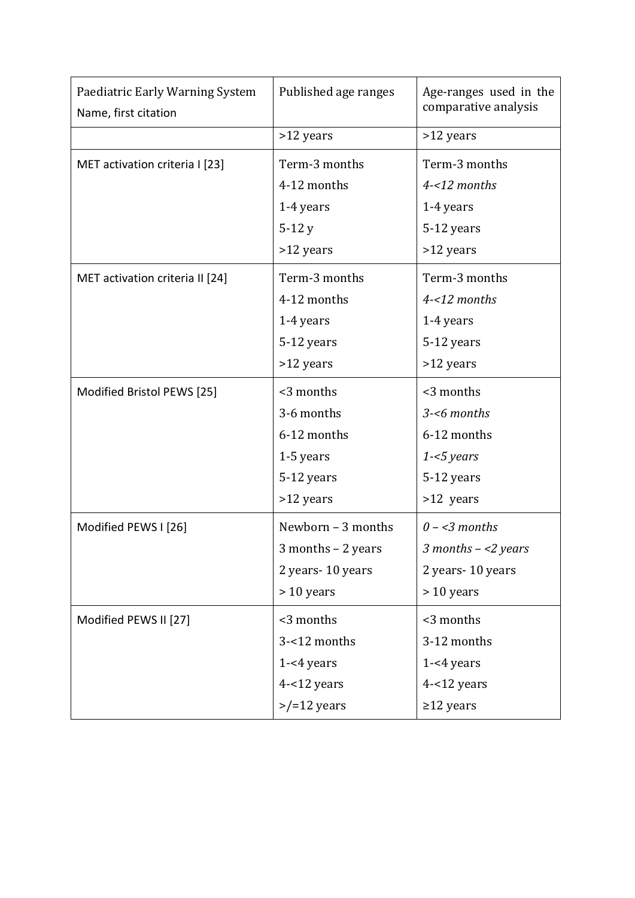| Paediatric Early Warning System<br>Name, first citation | Published age ranges | Age-ranges used in the<br>comparative analysis |
|---------------------------------------------------------|----------------------|------------------------------------------------|
|                                                         | >12 years            | >12 years                                      |
| MET activation criteria I [23]                          | Term-3 months        | Term-3 months                                  |
|                                                         | 4-12 months          | 4-<12 months                                   |
|                                                         | 1-4 years            | 1-4 years                                      |
|                                                         | $5-12y$              | 5-12 years                                     |
|                                                         | >12 years            | >12 years                                      |
| MET activation criteria II [24]                         | Term-3 months        | Term-3 months                                  |
|                                                         | 4-12 months          | 4-<12 months                                   |
|                                                         | 1-4 years            | 1-4 years                                      |
|                                                         | 5-12 years           | 5-12 years                                     |
|                                                         | >12 years            | >12 years                                      |
| Modified Bristol PEWS [25]                              | <3 months            | <3 months                                      |
|                                                         | 3-6 months           | 3-<6 months                                    |
|                                                         | 6-12 months          | 6-12 months                                    |
|                                                         | 1-5 years            | $1 - 5$ years                                  |
|                                                         | 5-12 years           | 5-12 years                                     |
|                                                         | >12 years            | >12 years                                      |
| Modified PEWS I [26]                                    | Newborn - 3 months   | $0 - 3$ months                                 |
|                                                         | 3 months - 2 years   | 3 months $-$ <2 years                          |
|                                                         | 2 years-10 years     | 2 years-10 years                               |
|                                                         | $> 10$ years         | $> 10$ years                                   |
| Modified PEWS II [27]                                   | <3 months            | <3 months                                      |
|                                                         | 3-<12 months         | 3-12 months                                    |
|                                                         | $1 - 4$ years        | $1 - 4$ years                                  |
|                                                         | $4 - 12$ years       | $4 - 12$ years                                 |
|                                                         | $>$ /=12 years       | $\geq$ 12 years                                |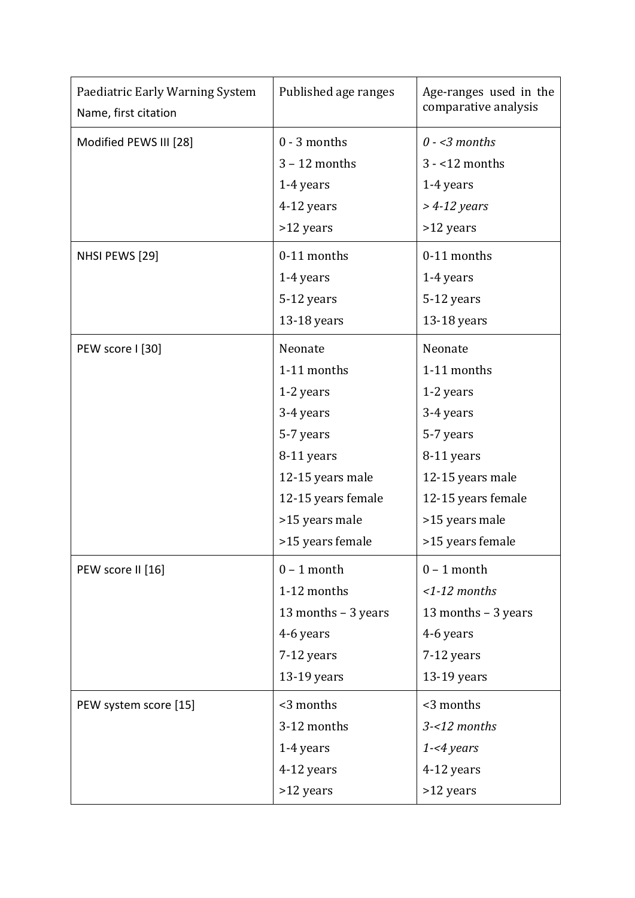| Paediatric Early Warning System<br>Name, first citation | Published age ranges | Age-ranges used in the<br>comparative analysis |  |  |
|---------------------------------------------------------|----------------------|------------------------------------------------|--|--|
| Modified PEWS III [28]                                  | $0 - 3$ months       | $0 - 3$ months                                 |  |  |
|                                                         | $3 - 12$ months      | $3 - 12$ months                                |  |  |
|                                                         | 1-4 years            | 1-4 years                                      |  |  |
|                                                         | 4-12 years           | $>$ 4-12 years                                 |  |  |
|                                                         | >12 years            | >12 years                                      |  |  |
| NHSI PEWS [29]                                          | 0-11 months          | 0-11 months                                    |  |  |
|                                                         | 1-4 years            | 1-4 years                                      |  |  |
|                                                         | 5-12 years           | 5-12 years                                     |  |  |
|                                                         | 13-18 years          | 13-18 years                                    |  |  |
| PEW score I [30]                                        | Neonate              | Neonate                                        |  |  |
|                                                         | 1-11 months          | 1-11 months                                    |  |  |
|                                                         | 1-2 years            | 1-2 years                                      |  |  |
|                                                         | 3-4 years            | 3-4 years                                      |  |  |
|                                                         | 5-7 years            | 5-7 years                                      |  |  |
|                                                         | 8-11 years           | 8-11 years                                     |  |  |
|                                                         | 12-15 years male     | 12-15 years male                               |  |  |
|                                                         | 12-15 years female   | 12-15 years female                             |  |  |
|                                                         | >15 years male       | >15 years male                                 |  |  |
|                                                         | >15 years female     | >15 years female                               |  |  |
| PEW score II [16]                                       | $0 - 1$ month        | $0 - 1$ month                                  |  |  |
|                                                         | 1-12 months          | $<$ 1-12 months                                |  |  |
|                                                         | 13 months - 3 years  | 13 months - 3 years                            |  |  |
|                                                         | 4-6 years            | 4-6 years                                      |  |  |
|                                                         | 7-12 years           | 7-12 years                                     |  |  |
|                                                         | 13-19 years          | 13-19 years                                    |  |  |
| PEW system score [15]                                   | <3 months            | <3 months                                      |  |  |
|                                                         | 3-12 months          | $3 - 12$ months                                |  |  |
|                                                         | 1-4 years            | $1 - 4$ years                                  |  |  |
|                                                         | 4-12 years           | 4-12 years                                     |  |  |
|                                                         | >12 years            | >12 years                                      |  |  |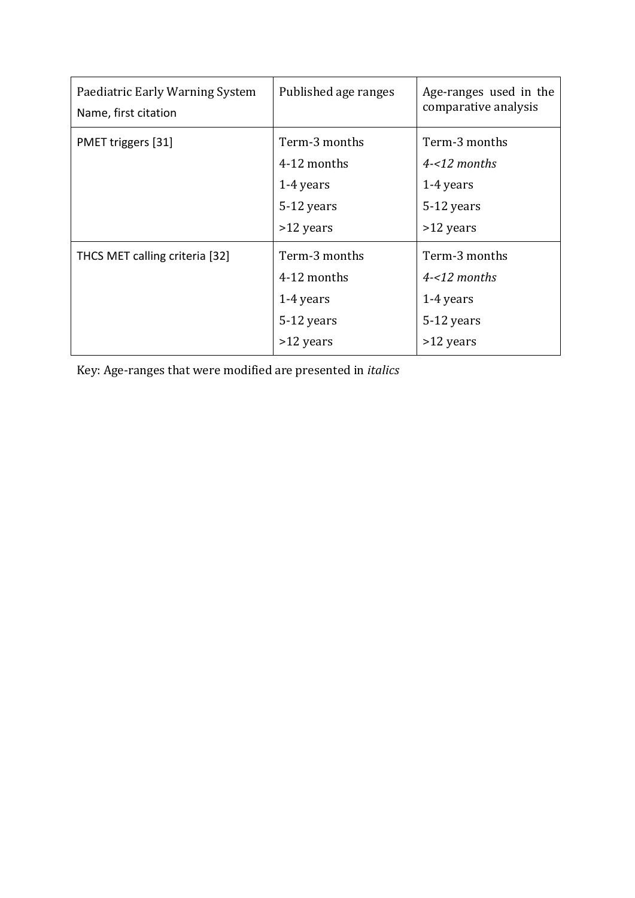| Paediatric Early Warning System<br>Name, first citation | Published age ranges | Age-ranges used in the<br>comparative analysis |
|---------------------------------------------------------|----------------------|------------------------------------------------|
| PMET triggers [31]                                      | Term-3 months        | Term-3 months                                  |
|                                                         | 4-12 months          | $4 - 12$ months                                |
|                                                         | 1-4 years            | 1-4 years                                      |
|                                                         | 5-12 years           | 5-12 years                                     |
|                                                         | >12 years            | $>12$ years                                    |
| THCS MET calling criteria [32]                          | Term-3 months        | Term-3 months                                  |
|                                                         | 4-12 months          | $4 - 12$ months                                |
|                                                         | 1-4 years            | 1-4 years                                      |
|                                                         | 5-12 years           | 5-12 years                                     |
|                                                         | >12 years            | >12 years                                      |

Key: Age-ranges that were modified are presented in *italics*